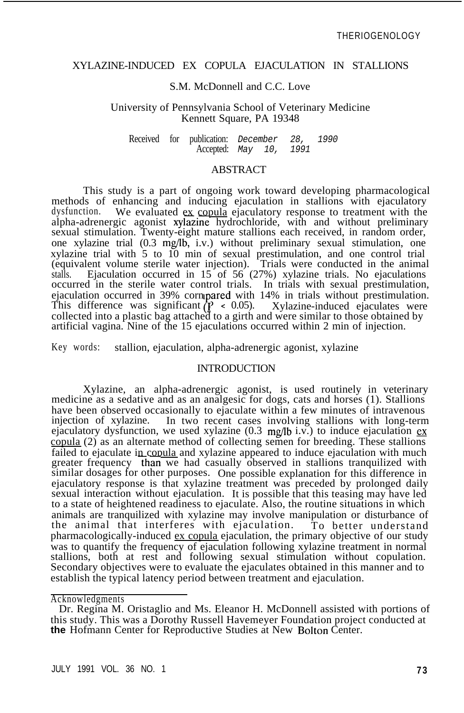# XYLAZINE-INDUCED EX COPULA EJACULATION IN STALLIONS

# S.M. McDonnell and C.C. Love

#### University of Pennsylvania School of Veterinary Medicine Kennett Square, PA 19348

Received for publication: *December 28, 1990* Accepted: *May 10, 1991*

### ABSTRACT

This study is a part of ongoing work toward developing pharmacological methods of enhancing and inducing ejaculation in stallions with ejaculatory dysfunction. We evaluated ex copula ejaculatory response to treatment with the We evaluated ex copula ejaculatory response to treatment with the alpha-adrenergic agonist xylazine hydrochloride, with and without preliminary sexual stimulation. Twenty-eight mature stallions each received, in random order, one xylazine trial (0.3 mg/lb, i.v.) without preliminary sexual stimulation, one xylazine trial with 5 to 10 min of sexual prestimulation, and one control trial (equivalent volume sterile water injection). Trials were conducted in the animal stalls. Ejaculation occurred in 15 of 56 (27%) xylazine trials. No ejaculations occurred in the sterile water control trials. In trials with sexual prestimulation, ejaculation occurred in 39% cornipared with 14% in trials without prestimulation. This difference was significant  $\left(\frac{P}{P} \le 0.05\right)$ . Xylazine-induced ejaculates were collected into a plastic bag attached to a girth and were similar to those obtained by artificial vagina. Nine of the 15 ejaculations occurred within 2 min of injection.

Key words: stallion, ejaculation, alpha-adrenergic agonist, xylazine

#### INTRODUCTION

Xylazine, an alpha-adrenergic agonist, is used routinely in veterinary medicine as a sedative and as an analgesic for dogs, cats and horses (1). Stallions have been observed occasionally to ejaculate within a few minutes of intravenous injection of xylazine. In two recent cases involving stallions with long-term In two recent cases involving stallions with long-term ejaculatory dysfunction, we used xylazine  $(0.3 \text{ mg/lb i.v.})$  to induce ejaculation ex copula (2) as an alternate method of collecting semen for breeding. These stallions failed to ejaculate in copula and xylazine appeared to induce ejaculation with much greater frequency than we had casually observed in stallions tranquilized with similar dosages for other purposes. One possible explanation for this difference in ejaculatory response is that xylazine treatment was preceded by prolonged daily sexual interaction without ejaculation. It is possible that this teasing may have led to a state of heightened readiness to ejaculate. Also, the routine situations in which animals are tranquilized with xylazine may involve manipulation or disturbance of the animal that interferes with ejaculation. To better understand the animal that interferes with ejaculation. pharmacologically-induced ex copula ejaculation, the primary objective of our study was to quantify the frequency of ejaculation following xylazine treatment in normal stallions, both at rest and following sexual stimulation without copulation. Secondary objectives were to evaluate the ejaculates obtained in this manner and to establish the typical latency period between treatment and ejaculation.

Acknowledgments

Dr. Regina M. Oristaglio and Ms. Eleanor H. McDonnell assisted with portions of this study. This was a Dorothy Russell Havemeyer Foundation project conducted at **the** Hofmann Center for Reproductive Studies at New Bolton Center.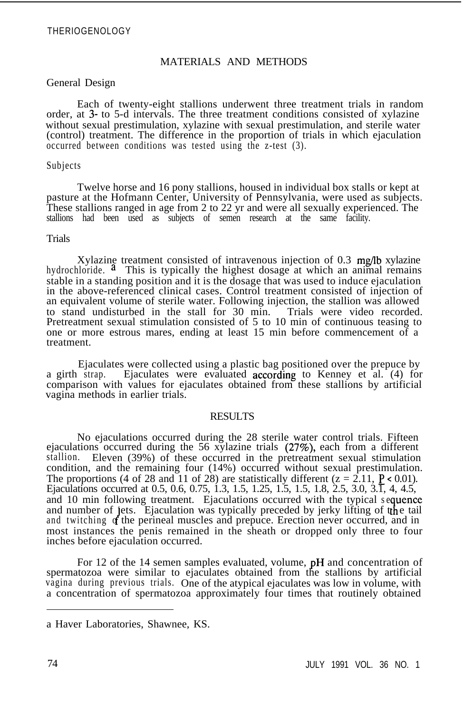# THERIOGENOLOGY

# MATERIALS AND METHODS

## General Design

Each of twenty-eight stallions underwent three treatment trials in random order, at 3- to 5-d intervals. The three treatment conditions consisted of xylazine without sexual prestimulation, xylazine with sexual prestimulation, and sterile water (control) treatment. The difference in the proportion of trials in which ejaculation occurred between conditions was tested using the z-test (3).

#### Subjects

Twelve horse and 16 pony stallions, housed in individual box stalls or kept at pasture at the Hofmann Center, University of Pennsylvania, were used as subjects. These stallions ranged in age from 2 to 22 yr and were all sexually experienced. The stallions had been used as subjects of semen research at the same facility.

# Trials

Xylazing treatment consisted of intravenous injection of 0.3 mg/lb xylazine hydrochloride.  $\alpha$  This is typically the highest dosage at which an animal remains stable in a standing position and it is the dosage that was used to induce ejaculation in the above-referenced clinical cases. Control treatment consisted of injection of an equivalent volume of sterile water. Following injection, the stallion was allowed to stand undisturbed in the stall for 30 min. Trials were video recorded. to stand undisturbed in the stall for 30 min. Pretreatment sexual stimulation consisted of 5 to 10 min of continuous teasing to one or more estrous mares, ending at least 15 min before commencement of a treatment.

Ejaculates were collected using a plastic bag positioned over the prepuce by<br>a girth strap. Ejaculates were evaluated according to Kenney et al. (4) for Ejaculates were evaluated according to Kenney et al.  $(4)$  for comparison with values for ejaculates obtained from these stallions by artificial vagina methods in earlier trials.

## RESULTS

No ejaculations occurred during the 28 sterile water control trials. Fifteen ejaculations occurred during the 56 xylazine trials (27%), each from a different stallion. Eleven (39%) of these occurred in the pretreatment sexual stimulation condition, and the remaining four (14%) occurred without sexual prestimulation. The proportions (4 of 28 and 11 of 28) are statistically different ( $z = 2.11$ ,  $P \le 0.01$ ). Ejaculations occurred at 0.5, 0.6, 0.75, 1.3, 1.5, 1.25, 1.5, 1.5, 1.8, 2.5, 3.0, 3.1, 4, 4.5, and 10 min following treatment. Ejaculations occurred with the typical sequence and number of jets. Ejaculation was typically preceded by jerky lifting of tthe tail and twitching of the perineal muscles and prepuce. Erection never occurred, and in most instances the penis remained in the sheath or dropped only three to four inches before ejaculation occurred.

For 12 of the 14 semen samples evaluated, volume, pH and concentration of spermatozoa were similar to ejaculates obtained from the stallions by artificial vagina during previous trials. One of the atypical ejaculates was low in volume, with a concentration of spermatozoa approximately four times that routinely obtained

a Haver Laboratories, Shawnee, KS.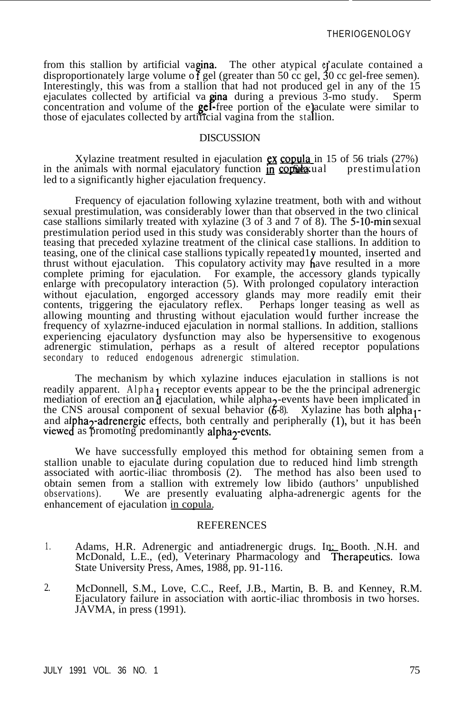from this stallion by artificial vagina. The other atypical efaculate contained a disproportionately large volume of gel (greater than 50 cc gel, 30 cc gel-free semen). Interestingly, this was from a stallion that had not produced gel in any of the 15 ejaculates collected by artificial va gina lduring a previous 3-mo study. Sperm concentration and volume of the  $gef$ -free portion of the e) aculate were similar to those of ejaculates collected by artificial vagina from the stallion.

#### DISCUSSION

Xylazine treatment resulted in ejaculation  $\frac{ex}{\cos \theta}$  copula in 15 of 56 trials (27%) animals with normal ejaculatory function in  $\frac{cos \theta}{\cos \theta}$  restimulation in the animals with normal ejaculatory function in consider all led to a significantly higher ejaculation frequency.

Frequency of ejaculation following xylazine treatment, both with and without sexual prestimulation, was considerably lower than that observed in the two clinical case stallions similarly treated with xylazine (3 of 3 and 7 of 8). The 5-10-min sexual prestimulation period used in this study was considerably shorter than the hours of teasing that preceded xylazine treatment of the clinical case stallions. In addition to teasing, one of the clinical case stallions typically repeated ly mounted, inserted and thrust without ejaculation. This copulatory activity may have resulted in a more complete priming for ejaculation. For example, the accessory glands typically enlarge with precopulatory interaction (5). With prolonged copulatory interaction without ejaculation, engorged accessory glands may more readily emit their contents, triggering the ejaculatory reflex. Perhaps longer teasing as well as allowing mounting and thrusting without ejaculation would further increase the frequency of xylazrne-induced ejaculation in normal stallions. In addition, stallions experiencing ejaculatory dysfunction may also be hypersensitive to exogenous adrenergic stimulation, perhaps as a result of altered receptor populations secondary to reduced endogenous adrenergic stimulation.

The mechanism by which xylazine induces ejaculation in stallions is not readily apparent. Alpha<sub>1</sub> receptor events appear to be the the principal adrenergic mediation of erection and ejaculation, while alpha<sub>2</sub>-events have been implicated in the CNS arousal component of sexual behavior  $(6\text{-}8)$ . Xylazine has both alpha<sub>1</sub> and alpha<sub>2</sub>-adrenergic effects, both centrally and peripherally (1), but it has been viewed as promoting predominantly alpha<sub>2</sub>-eve

We have successfully employed this method for obtaining semen from a stallion unable to ejaculate during copulation due to reduced hind limb strength associated with aortic-iliac thrombosis (2). The method has also been used to obtain semen from a stallion with extremely low libido (authors' unpublished observations). We are presently evaluating alpha-adrenergic agents for the enhancement of ejaculation in copula.

## REFERENCES

- 1. Adams, H.R. Adrenergic and antiadrenergic drugs. In: Booth. N.H. and McDonald, L.E., (ed), Veterinary Pharmacology and Therapeutics. Iowa State University Press, Ames, 1988, pp. 91-116.
- 2. McDonnell, S.M., Love, C.C., Reef, J.B., Martin, B. B. and Kenney, R.M. Ejaculatory failure in association with aortic-iliac thrombosis in two horses. JAVMA, in press (1991).